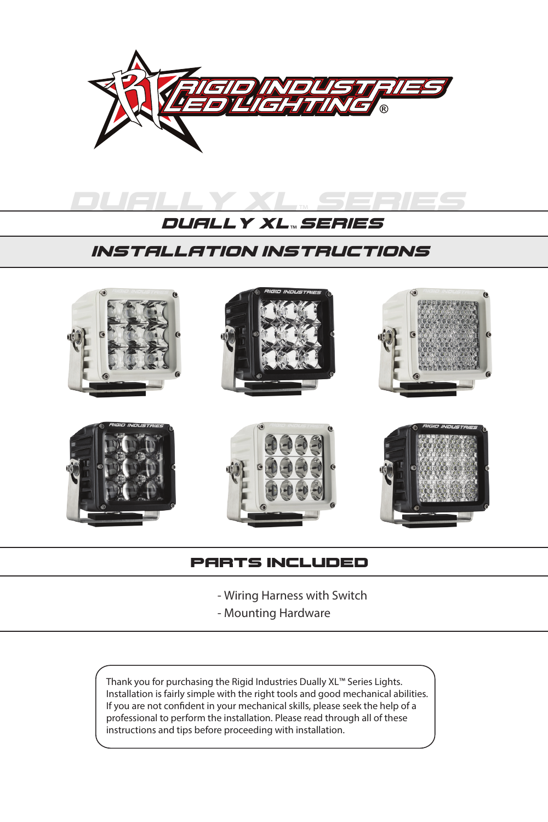



## installation instructions



### parts included

- Wiring Harness with Switch
- Mounting Hardware

Thank you for purchasing the Rigid Industries Dually XL™ Series Lights. Installation is fairly simple with the right tools and good mechanical abilities. If you are not confident in your mechanical skills, please seek the help of a professional to perform the installation. Please read through all of these instructions and tips before proceeding with installation.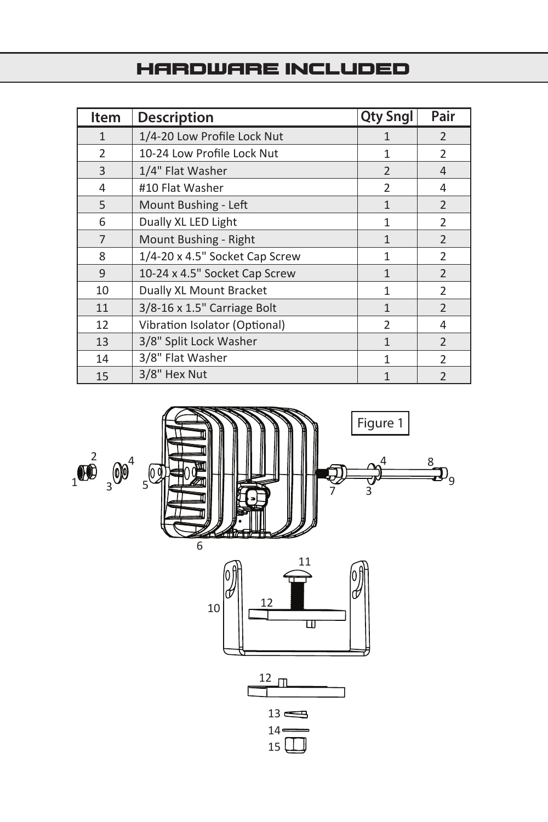## hardware included

| Item           | <b>Description</b>             | <b>Qty Sngl</b> | Pair           |
|----------------|--------------------------------|-----------------|----------------|
| $\mathbf{1}$   | 1/4-20 Low Profile Lock Nut    | 1               | $\mathcal{P}$  |
| $\overline{2}$ | 10-24 Low Profile Lock Nut     | 1               | $\mathfrak{p}$ |
| 3              | 1/4" Flat Washer               | $\overline{2}$  | 4              |
| 4              | #10 Flat Washer                | $\overline{2}$  | 4              |
| 5              | Mount Bushing - Left           | $\mathbf{1}$    | $\overline{2}$ |
| 6              | Dually XL LED Light            | 1               | $\overline{2}$ |
| 7              | Mount Bushing - Right          | $\mathbf{1}$    | $\overline{2}$ |
| 8              | 1/4-20 x 4.5" Socket Cap Screw | 1               | $\overline{2}$ |
| 9              | 10-24 x 4.5" Socket Cap Screw  | 1               | $\overline{2}$ |
| 10             | Dually XL Mount Bracket        | 1               | $\mathcal{P}$  |
| 11             | 3/8-16 x 1.5" Carriage Bolt    | $\mathbf{1}$    | $\overline{2}$ |
| 12             | Vibration Isolator (Optional)  | $\overline{2}$  | 4              |
| 13             | 3/8" Split Lock Washer         | $\mathbf{1}$    | $\overline{2}$ |
| 14             | 3/8" Flat Washer               | 1               | $\mathfrak{p}$ |
| 15             | 3/8" Hex Nut                   | 1               | $\mathfrak{p}$ |

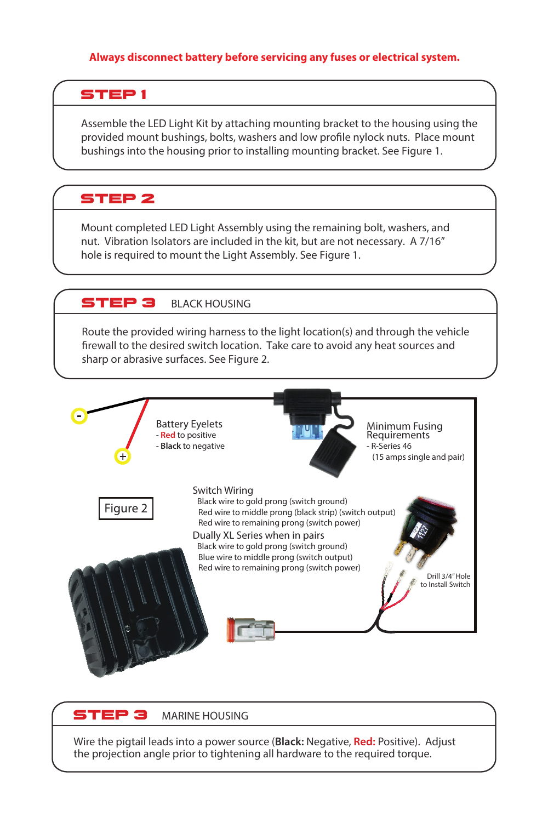#### **Always disconnect battery before servicing any fuses or electrical system.**

### STEP<sub>1</sub>

Assemble the LED Light Kit by attaching mounting bracket to the housing using the provided mount bushings, bolts, washers and low profile nylock nuts. Place mount bushings into the housing prior to installing mounting bracket. See Figure 1.

### STEP<sub>2</sub>

Mount completed LED Light Assembly using the remaining bolt, washers, and nut. Vibration Isolators are included in the kit, but are not necessary. A 7/16" hole is required to mount the Light Assembly. See Figure 1.

### **STEP 3** BLACK HOUSING

Route the provided wiring harness to the light location(s) and through the vehicle firewall to the desired switch location. Take care to avoid any heat sources and sharp or abrasive surfaces. See Figure 2.



#### **STEP 3** MARINE HOUSING

Wire the pigtail leads into a power source (**Black:** Negative, **Red:** Positive). Adjust the projection angle prior to tightening all hardware to the required torque.